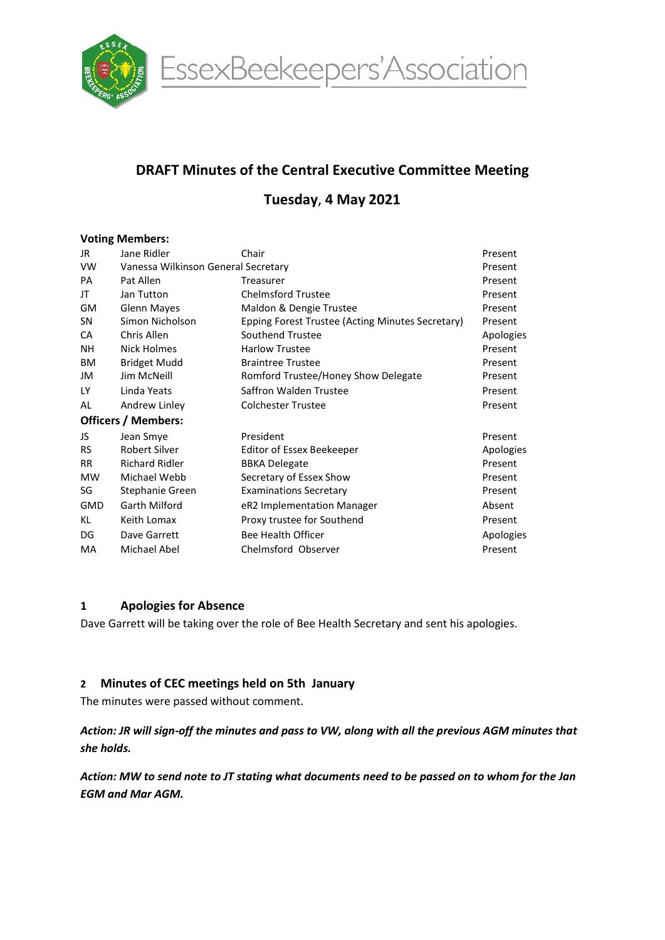

EssexBeekeepers'Association

# DRAFT Minutes of the Central Executive Committee Meeting

# Tuesday, 4 May 2021

## Voting Members:

| Jane Ridler                         | Chair                                            | Present   |  |
|-------------------------------------|--------------------------------------------------|-----------|--|
| Vanessa Wilkinson General Secretary |                                                  |           |  |
| Pat Allen                           | Treasurer                                        | Present   |  |
| Jan Tutton                          | <b>Chelmsford Trustee</b>                        | Present   |  |
| <b>Glenn Mayes</b>                  | Maldon & Dengie Trustee                          | Present   |  |
| Simon Nicholson                     | Epping Forest Trustee (Acting Minutes Secretary) | Present   |  |
| Chris Allen                         | Southend Trustee                                 | Apologies |  |
| Nick Holmes                         | <b>Harlow Trustee</b>                            | Present   |  |
| <b>Bridget Mudd</b>                 | <b>Braintree Trustee</b>                         | Present   |  |
| Jim McNeill                         | Romford Trustee/Honey Show Delegate              | Present   |  |
| Linda Yeats                         | Saffron Walden Trustee                           | Present   |  |
| Andrew Linley                       | <b>Colchester Trustee</b>                        | Present   |  |
| <b>Officers / Members:</b>          |                                                  |           |  |
| Jean Smye                           | President                                        | Present   |  |
| Robert Silver                       | Editor of Essex Beekeeper                        | Apologies |  |
| <b>Richard Ridler</b>               | <b>BBKA Delegate</b>                             | Present   |  |
| Michael Webb                        | Secretary of Essex Show                          | Present   |  |
| Stephanie Green                     | <b>Examinations Secretary</b>                    | Present   |  |
| Garth Milford                       | eR2 Implementation Manager                       | Absent    |  |
| Keith Lomax                         | Proxy trustee for Southend                       | Present   |  |
| Dave Garrett                        | <b>Bee Health Officer</b>                        | Apologies |  |
| Michael Abel                        | Chelmsford Observer                              | Present   |  |
|                                     |                                                  |           |  |

## 1 Apologies for Absence

Dave Garrett will be taking over the role of Bee Health Secretary and sent his apologies.

## 2 Minutes of CEC meetings held on 5th January

The minutes were passed without comment.

Action: JR will sign-off the minutes and pass to VW, along with all the previous AGM minutes that she holds.

Action: MW to send note to JT stating what documents need to be passed on to whom for the Jan EGM and Mar AGM.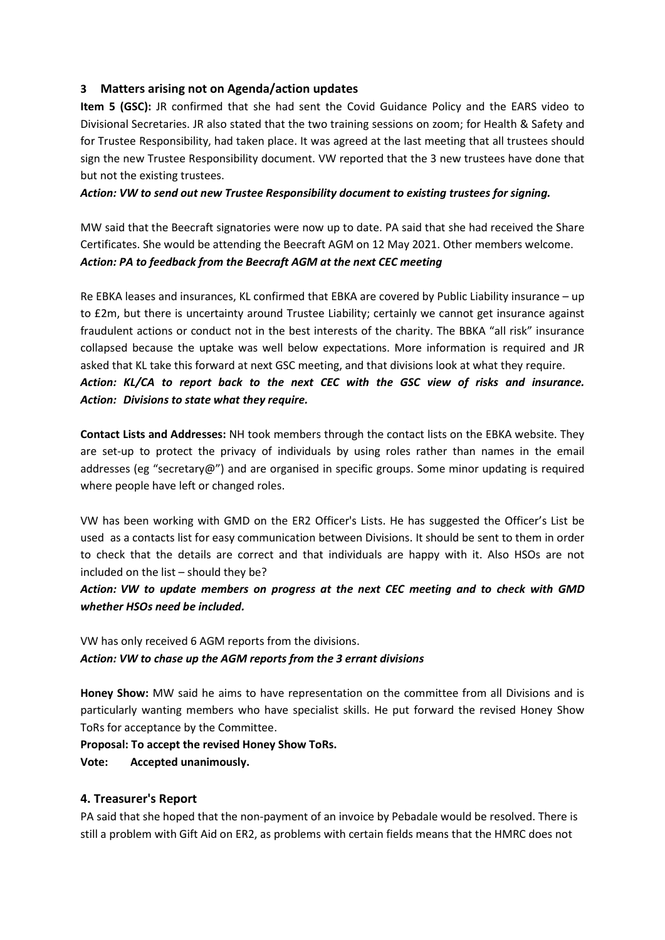## 3 Matters arising not on Agenda/action updates

Item 5 (GSC): JR confirmed that she had sent the Covid Guidance Policy and the EARS video to Divisional Secretaries. JR also stated that the two training sessions on zoom; for Health & Safety and for Trustee Responsibility, had taken place. It was agreed at the last meeting that all trustees should sign the new Trustee Responsibility document. VW reported that the 3 new trustees have done that but not the existing trustees.

Action: VW to send out new Trustee Responsibility document to existing trustees for signing.

MW said that the Beecraft signatories were now up to date. PA said that she had received the Share Certificates. She would be attending the Beecraft AGM on 12 May 2021. Other members welcome. Action: PA to feedback from the Beecraft AGM at the next CEC meeting

Re EBKA leases and insurances, KL confirmed that EBKA are covered by Public Liability insurance – up to £2m, but there is uncertainty around Trustee Liability; certainly we cannot get insurance against fraudulent actions or conduct not in the best interests of the charity. The BBKA "all risk" insurance collapsed because the uptake was well below expectations. More information is required and JR asked that KL take this forward at next GSC meeting, and that divisions look at what they require. Action: KL/CA to report back to the next CEC with the GSC view of risks and insurance. Action: Divisions to state what they require.

Contact Lists and Addresses: NH took members through the contact lists on the EBKA website. They are set-up to protect the privacy of individuals by using roles rather than names in the email addresses (eg "secretary@") and are organised in specific groups. Some minor updating is required where people have left or changed roles.

VW has been working with GMD on the ER2 Officer's Lists. He has suggested the Officer's List be used as a contacts list for easy communication between Divisions. It should be sent to them in order to check that the details are correct and that individuals are happy with it. Also HSOs are not included on the list – should they be?

## Action: VW to update members on progress at the next CEC meeting and to check with GMD whether HSOs need be included.

VW has only received 6 AGM reports from the divisions. Action: VW to chase up the AGM reports from the 3 errant divisions

Honey Show: MW said he aims to have representation on the committee from all Divisions and is particularly wanting members who have specialist skills. He put forward the revised Honey Show ToRs for acceptance by the Committee.

## Proposal: To accept the revised Honey Show ToRs.

## Vote: Accepted unanimously.

## 4. Treasurer's Report

PA said that she hoped that the non-payment of an invoice by Pebadale would be resolved. There is still a problem with Gift Aid on ER2, as problems with certain fields means that the HMRC does not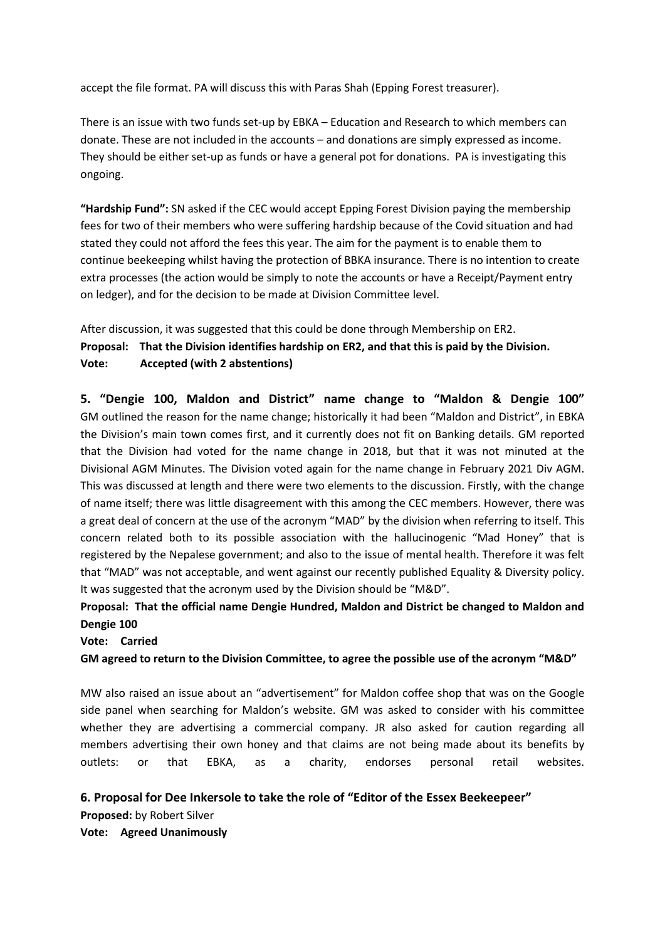accept the file format. PA will discuss this with Paras Shah (Epping Forest treasurer).

There is an issue with two funds set-up by EBKA – Education and Research to which members can donate. These are not included in the accounts – and donations are simply expressed as income. They should be either set-up as funds or have a general pot for donations. PA is investigating this ongoing.

"Hardship Fund": SN asked if the CEC would accept Epping Forest Division paying the membership fees for two of their members who were suffering hardship because of the Covid situation and had stated they could not afford the fees this year. The aim for the payment is to enable them to continue beekeeping whilst having the protection of BBKA insurance. There is no intention to create extra processes (the action would be simply to note the accounts or have a Receipt/Payment entry on ledger), and for the decision to be made at Division Committee level.

After discussion, it was suggested that this could be done through Membership on ER2. Proposal: That the Division identifies hardship on ER2, and that this is paid by the Division. Vote: Accepted (with 2 abstentions)

5. "Dengie 100, Maldon and District" name change to "Maldon & Dengie 100" GM outlined the reason for the name change; historically it had been "Maldon and District", in EBKA the Division's main town comes first, and it currently does not fit on Banking details. GM reported that the Division had voted for the name change in 2018, but that it was not minuted at the Divisional AGM Minutes. The Division voted again for the name change in February 2021 Div AGM. This was discussed at length and there were two elements to the discussion. Firstly, with the change of name itself; there was little disagreement with this among the CEC members. However, there was a great deal of concern at the use of the acronym "MAD" by the division when referring to itself. This concern related both to its possible association with the hallucinogenic "Mad Honey" that is registered by the Nepalese government; and also to the issue of mental health. Therefore it was felt that "MAD" was not acceptable, and went against our recently published Equality & Diversity policy. It was suggested that the acronym used by the Division should be "M&D".

## Proposal: That the official name Dengie Hundred, Maldon and District be changed to Maldon and Dengie 100

#### Vote: Carried

GM agreed to return to the Division Committee, to agree the possible use of the acronym "M&D"

MW also raised an issue about an "advertisement" for Maldon coffee shop that was on the Google side panel when searching for Maldon's website. GM was asked to consider with his committee whether they are advertising a commercial company. JR also asked for caution regarding all members advertising their own honey and that claims are not being made about its benefits by outlets: or that EBKA, as a charity, endorses personal retail websites.

## 6. Proposal for Dee Inkersole to take the role of "Editor of the Essex Beekeepeer"

Proposed: by Robert Silver Vote: Agreed Unanimously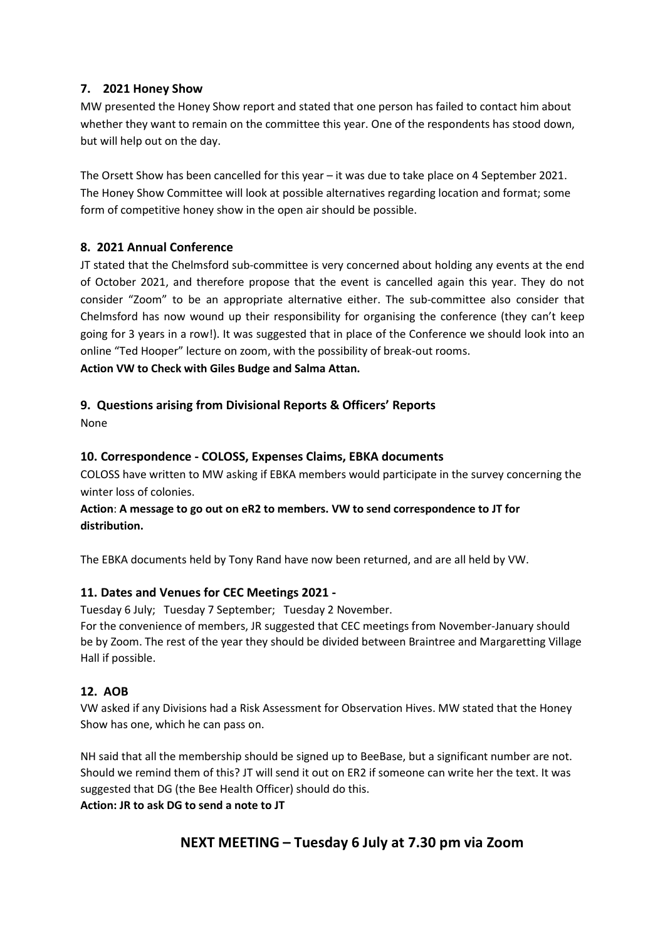## 7. 2021 Honey Show

MW presented the Honey Show report and stated that one person has failed to contact him about whether they want to remain on the committee this year. One of the respondents has stood down, but will help out on the day.

The Orsett Show has been cancelled for this year – it was due to take place on 4 September 2021. The Honey Show Committee will look at possible alternatives regarding location and format; some form of competitive honey show in the open air should be possible.

## 8. 2021 Annual Conference

JT stated that the Chelmsford sub-committee is very concerned about holding any events at the end of October 2021, and therefore propose that the event is cancelled again this year. They do not consider "Zoom" to be an appropriate alternative either. The sub-committee also consider that Chelmsford has now wound up their responsibility for organising the conference (they can't keep going for 3 years in a row!). It was suggested that in place of the Conference we should look into an online "Ted Hooper" lecture on zoom, with the possibility of break-out rooms.

Action VW to Check with Giles Budge and Salma Attan.

## 9. Questions arising from Divisional Reports & Officers' Reports

None

## 10. Correspondence - COLOSS, Expenses Claims, EBKA documents

COLOSS have written to MW asking if EBKA members would participate in the survey concerning the winter loss of colonies.

## Action: A message to go out on eR2 to members. VW to send correspondence to JT for distribution.

The EBKA documents held by Tony Rand have now been returned, and are all held by VW.

## 11. Dates and Venues for CEC Meetings 2021 -

Tuesday 6 July; Tuesday 7 September; Tuesday 2 November.

For the convenience of members, JR suggested that CEC meetings from November-January should be by Zoom. The rest of the year they should be divided between Braintree and Margaretting Village Hall if possible.

## 12. AOB

VW asked if any Divisions had a Risk Assessment for Observation Hives. MW stated that the Honey Show has one, which he can pass on.

NH said that all the membership should be signed up to BeeBase, but a significant number are not. Should we remind them of this? JT will send it out on ER2 if someone can write her the text. It was suggested that DG (the Bee Health Officer) should do this.

Action: JR to ask DG to send a note to JT

## NEXT MEETING – Tuesday 6 July at 7.30 pm via Zoom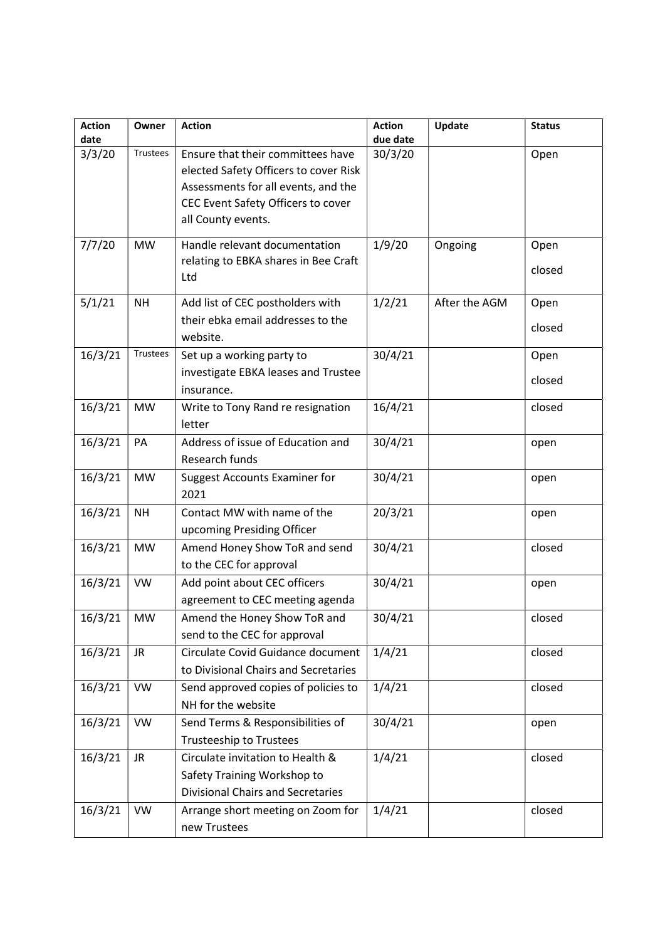| <b>Action</b> | Owner     | <b>Action</b>                            | <b>Action</b> | Update        | <b>Status</b> |
|---------------|-----------|------------------------------------------|---------------|---------------|---------------|
| date          |           |                                          | due date      |               |               |
| 3/3/20        | Trustees  | Ensure that their committees have        | 30/3/20       |               | Open          |
|               |           | elected Safety Officers to cover Risk    |               |               |               |
|               |           | Assessments for all events, and the      |               |               |               |
|               |           | CEC Event Safety Officers to cover       |               |               |               |
|               |           | all County events.                       |               |               |               |
| 7/7/20        | <b>MW</b> | Handle relevant documentation            | 1/9/20        | Ongoing       | Open          |
|               |           | relating to EBKA shares in Bee Craft     |               |               |               |
|               |           | Ltd                                      |               |               | closed        |
| 5/1/21        | <b>NH</b> | Add list of CEC postholders with         | 1/2/21        | After the AGM | Open          |
|               |           | their ebka email addresses to the        |               |               |               |
|               |           | website.                                 |               |               | closed        |
| 16/3/21       | Trustees  | Set up a working party to                | 30/4/21       |               | Open          |
|               |           | investigate EBKA leases and Trustee      |               |               |               |
|               |           | insurance.                               |               |               | closed        |
|               |           |                                          |               |               |               |
| 16/3/21       | <b>MW</b> | Write to Tony Rand re resignation        | 16/4/21       |               | closed        |
|               |           | letter                                   |               |               |               |
| 16/3/21       | PA        | Address of issue of Education and        | 30/4/21       |               | open          |
|               |           | Research funds                           |               |               |               |
| 16/3/21       | <b>MW</b> | <b>Suggest Accounts Examiner for</b>     | 30/4/21       |               | open          |
|               |           | 2021                                     |               |               |               |
| 16/3/21       | <b>NH</b> | Contact MW with name of the              | 20/3/21       |               | open          |
|               |           | upcoming Presiding Officer               |               |               |               |
| 16/3/21       | <b>MW</b> | Amend Honey Show ToR and send            | 30/4/21       |               | closed        |
|               |           | to the CEC for approval                  |               |               |               |
| 16/3/21       | <b>VW</b> | Add point about CEC officers             | 30/4/21       |               | open          |
|               |           | agreement to CEC meeting agenda          |               |               |               |
| $16/3/21$ MW  |           | Amend the Honey Show ToR and             | 30/4/21       |               | closed        |
|               |           | send to the CEC for approval             |               |               |               |
| 16/3/21       | <b>JR</b> | Circulate Covid Guidance document        | 1/4/21        |               | closed        |
|               |           | to Divisional Chairs and Secretaries     |               |               |               |
| 16/3/21       | <b>VW</b> | Send approved copies of policies to      | 1/4/21        |               | closed        |
|               |           | NH for the website                       |               |               |               |
| 16/3/21       | <b>VW</b> | Send Terms & Responsibilities of         | 30/4/21       |               | open          |
|               |           | <b>Trusteeship to Trustees</b>           |               |               |               |
| 16/3/21       | <b>JR</b> | Circulate invitation to Health &         | 1/4/21        |               | closed        |
|               |           | Safety Training Workshop to              |               |               |               |
|               |           | <b>Divisional Chairs and Secretaries</b> |               |               |               |
| 16/3/21       | <b>VW</b> | Arrange short meeting on Zoom for        | 1/4/21        |               | closed        |
|               |           | new Trustees                             |               |               |               |